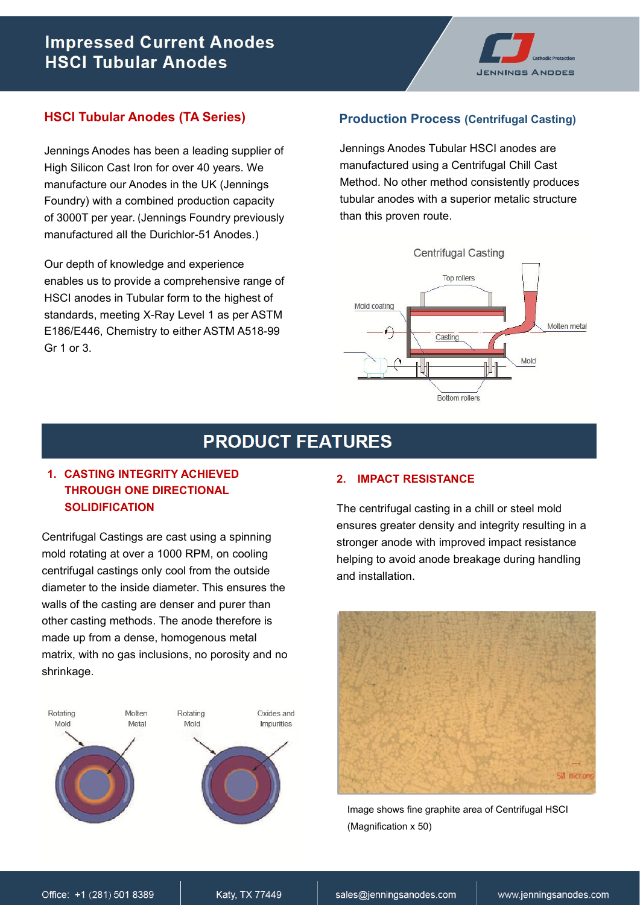# **Impressed Current Anodes HSCI Tubular Anodes**



### **HSCI Tubular Anodes (TA Series)**

Jennings Anodes has been a leading supplier of High Silicon Cast Iron for over 40 years. We manufacture our Anodes in the UK (Jennings Foundry) with a combined production capacity of 3000T per year. (Jennings Foundry previously manufactured all the Durichlor-51 Anodes.)

Our depth of knowledge and experience enables us to provide a comprehensive range of HSCI anodes in Tubular form to the highest of standards, meeting X-Ray Level 1 as per ASTM E186/E446, Chemistry to either ASTM A518-99 Gr 1 or 3.

#### **Production Process (Centrifugal Casting)**

Jennings Anodes Tubular HSCI anodes are manufactured using a Centrifugal Chill Cast Method. No other method consistently produces tubular anodes with a superior metalic structure than this proven route.



## **PRODUCT FEATURES**

### **1. CASTING INTEGRITY ACHIEVED THROUGH ONE DIRECTIONAL SOLIDIFICATION**

Centrifugal Castings are cast using a spinning mold rotating at over a 1000 RPM, on cooling centrifugal castings only cool from the outside diameter to the inside diameter. This ensures the walls of the casting are denser and purer than other casting methods. The anode therefore is made up from a dense, homogenous metal matrix, with no gas inclusions, no porosity and no shrinkage.



#### **2. IMPACT RESISTANCE**

The centrifugal casting in a chill or steel mold ensures greater density and integrity resulting in a stronger anode with improved impact resistance helping to avoid anode breakage during handling and installation.



Image shows fine graphite area of Centrifugal HSCI (Magnification x 50)

Katy, TX 77449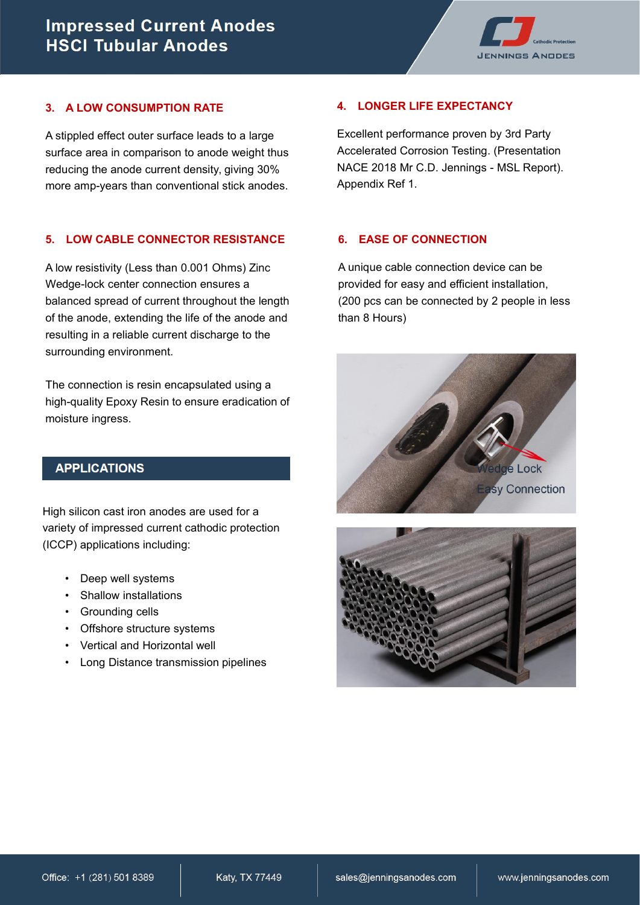

#### **3. A LOW CONSUMPTION RATE**

A stippled effect outer surface leads to a large surface area in comparison to anode weight thus reducing the anode current density, giving 30% more amp-years than conventional stick anodes.

#### **5. LOW CABLE CONNECTOR RESISTANCE**

A low resistivity (Less than 0.001 Ohms) Zinc Wedge-lock center connection ensures a balanced spread of current throughout the length of the anode, extending the life of the anode and resulting in a reliable current discharge to the surrounding environment.

The connection is resin encapsulated using a high-quality Epoxy Resin to ensure eradication of moisture ingress.

### **APPLICATIONS**

High silicon cast iron anodes are used for a variety of impressed current cathodic protection (ICCP) applications including:

- Deep well systems
- Shallow installations
- Grounding cells
- Offshore structure systems
- Vertical and Horizontal well
- Long Distance transmission pipelines

#### **4. LONGER LIFE EXPECTANCY**

Excellent performance proven by 3rd Party Accelerated Corrosion Testing. (Presentation NACE 2018 Mr C.D. Jennings - MSL Report). Appendix Ref 1.

#### **6. EASE OF CONNECTION**

A unique cable connection device can be provided for easy and efficient installation, (200 pcs can be connected by 2 people in less than 8 Hours)



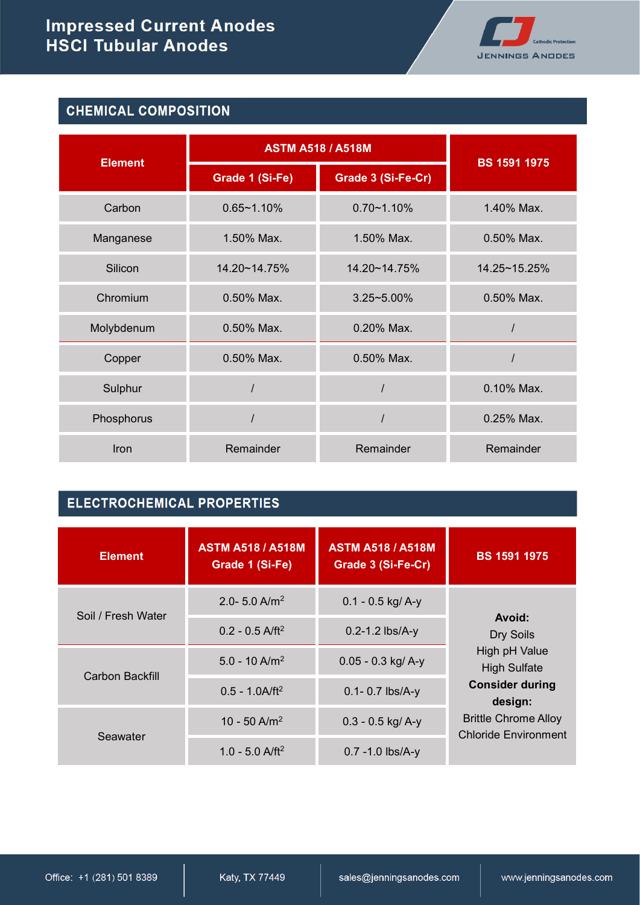

## **CHEMICAL COMPOSITION**

|                | <b>ASTM A518 / A518M</b> |                    |                     |  |
|----------------|--------------------------|--------------------|---------------------|--|
| <b>Element</b> | Grade 1 (Si-Fe)          | Grade 3 (Si-Fe-Cr) | <b>BS 1591 1975</b> |  |
| Carbon         | $0.65 - 1.10%$           | $0.70 - 1.10%$     | 1.40% Max.          |  |
| Manganese      | 1.50% Max.               | 1.50% Max.         | 0.50% Max.          |  |
| Silicon        | 14.20~14.75%             | 14.20~14.75%       | 14.25~15.25%        |  |
| Chromium       | 0.50% Max.               | $3.25 - 5.00\%$    | 0.50% Max.          |  |
| Molybdenum     | 0.50% Max.               | 0.20% Max.         |                     |  |
| Copper         | $0.50\%$ Max.            | 0.50% Max.         |                     |  |
| Sulphur        |                          |                    | 0.10% Max.          |  |
| Phosphorus     |                          |                    | $0.25\%$ Max.       |  |
| Iron           | Remainder                | Remainder          | Remainder           |  |

## **ELECTROCHEMICAL PROPERTIES**

| <b>Element</b>     | <b>ASTM A518 / A518M</b><br>Grade 1 (Si-Fe) | <b>ASTM A518 / A518M</b><br>Grade 3 (Si-Fe-Cr) | <b>BS 1591 1975</b>                                        |  |
|--------------------|---------------------------------------------|------------------------------------------------|------------------------------------------------------------|--|
| Soil / Fresh Water | 2.0- 5.0 A/m <sup>2</sup>                   | $0.1 - 0.5$ kg/ A-y                            |                                                            |  |
|                    | $0.2 - 0.5$ A/ft <sup>2</sup>               | Avoid:<br>Dry Soils                            |                                                            |  |
| Carbon Backfill    | $5.0 - 10$ A/m <sup>2</sup>                 | $0.05 - 0.3$ kg/A-y                            | High pH Value<br><b>High Sulfate</b>                       |  |
|                    | $0.5 - 1.0$ A/ft <sup>2</sup>               | $0.1 - 0.7$ lbs/A-y                            | <b>Consider during</b><br>design:                          |  |
| Seawater           | 10 - 50 A/m <sup>2</sup>                    | $0.3 - 0.5$ kg/ A-y                            | <b>Brittle Chrome Alloy</b><br><b>Chloride Environment</b> |  |
|                    | 1.0 - 5.0 $\text{A/ft}^2$                   | $0.7 - 1.0$ lbs/A-y                            |                                                            |  |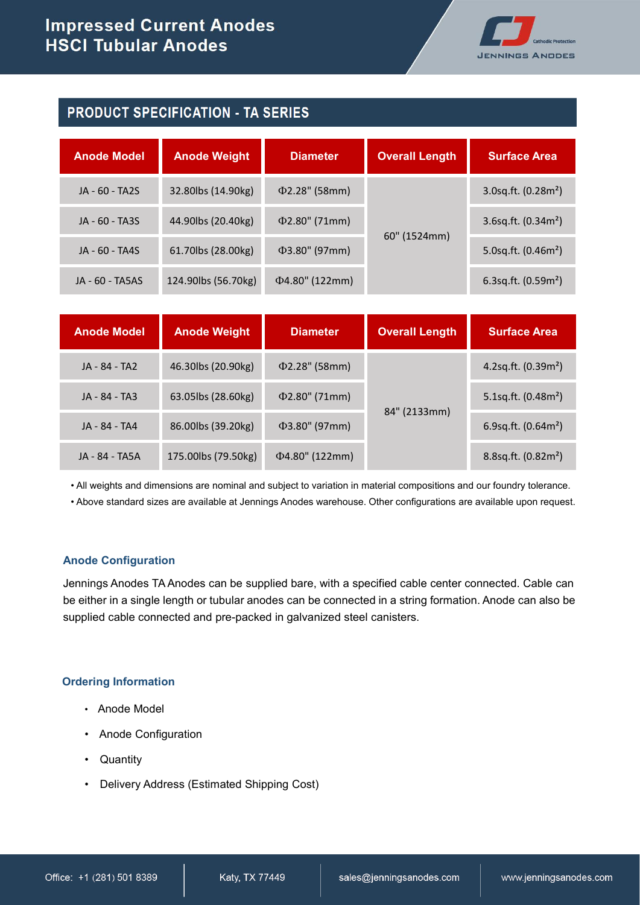

### **PRODUCT SPECIFICATION - TA SERIES**

| <b>Anode Model</b> | <b>Anode Weight</b>  | <b>Diameter</b>     | <b>Overall Length</b> | <b>Surface Area</b>                |
|--------------------|----------------------|---------------------|-----------------------|------------------------------------|
| JA - 60 - TA2S     | 32.80lbs (14.90kg)   | $\Phi$ 2.28" (58mm) |                       | $3.0$ sq.ft. (0.28m <sup>2</sup> ) |
| JA - 60 - TA3S     | 44.90 lbs (20.40 kg) | $\Phi$ 2.80" (71mm) |                       | $3.6$ sq.ft. (0.34m <sup>2</sup> ) |
| JA - 60 - TA4S     | 61.70lbs (28.00kg)   | $\Phi$ 3.80" (97mm) | 60" (1524mm)          | 5.0sq.ft. $(0.46m^2)$              |
| JA - 60 - TA5AS    | 124.90lbs (56.70kg)  | Ф4.80" (122mm)      |                       | $6.3$ sq.ft. (0.59m <sup>2</sup> ) |

| <b>Anode Model</b> | <b>Anode Weight</b> | <b>Diameter</b>      | <b>Overall Length</b> | <b>Surface Area</b>      |
|--------------------|---------------------|----------------------|-----------------------|--------------------------|
| JA - 84 - TA2      | 46.30lbs (20.90kg)  | $\Phi$ 2.28" (58mm)  |                       | 4.2sq.ft. $(0.39m^2)$    |
| JA - 84 - TA3      | 63.05lbs (28.60kg)  | $\Phi$ 2.80" (71mm)  |                       | 5.1sq.ft. $(0.48m^2)$    |
| JA - 84 - TA4      | 86.00lbs (39.20kg)  | $\Phi$ 3.80" (97mm)  | 84" (2133mm)          | 6.9sq.ft. $(0.64m^2)$    |
| JA - 84 - TA5A     | 175.00lbs (79.50kg) | $\Phi$ 4.80" (122mm) |                       | $8.8$ sq.ft. $(0.82m^2)$ |

• All weights and dimensions are nominal and subject to variation in material compositions and our foundry tolerance.

• Above standard sizes are available at Jennings Anodes warehouse. Other configurations are available upon request.

#### **Anode Configuration**

Jennings Anodes TAAnodes can be supplied bare, with a specified cable center connected. Cable can be either in a single length or tubular anodes can be connected in a string formation. Anode can also be supplied cable connected and pre-packed in galvanized steel canisters.

#### **Ordering Information**

- Anode Model
- Anode Configuration
- Quantity
- Delivery Address (Estimated Shipping Cost)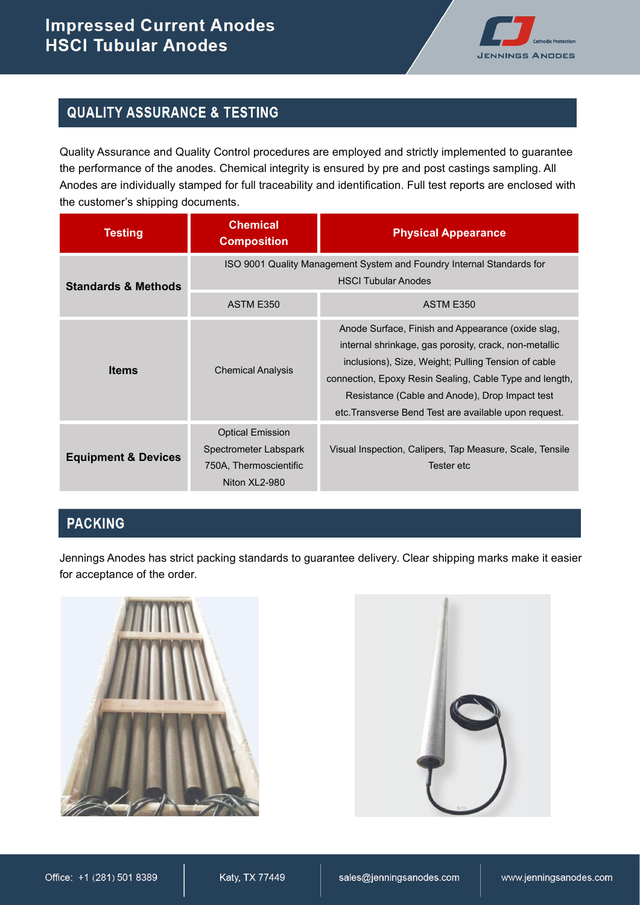

## **QUALITY ASSURANCE & TESTING**

Quality Assurance and Quality Control procedures are employed and strictly implemented to guarantee the performance of the anodes. Chemical integrity is ensured by pre and post castings sampling. All Anodes are individually stamped for full traceability and identification. Full test reports are enclosed with the customer's shipping documents.

| <b>Testing</b>                 | <b>Chemical</b><br><b>Composition</b>                                                                                         | <b>Physical Appearance</b>                                                                                                                                                                                                                                                                                                              |  |  |  |
|--------------------------------|-------------------------------------------------------------------------------------------------------------------------------|-----------------------------------------------------------------------------------------------------------------------------------------------------------------------------------------------------------------------------------------------------------------------------------------------------------------------------------------|--|--|--|
| <b>Standards &amp; Methods</b> | ISO 9001 Quality Management System and Foundry Internal Standards for<br><b>HSCI Tubular Anodes</b><br>ASTM E350<br>ASTM E350 |                                                                                                                                                                                                                                                                                                                                         |  |  |  |
| <b>Items</b>                   | <b>Chemical Analysis</b>                                                                                                      | Anode Surface, Finish and Appearance (oxide slag,<br>internal shrinkage, gas porosity, crack, non-metallic<br>inclusions), Size, Weight; Pulling Tension of cable<br>connection, Epoxy Resin Sealing, Cable Type and length,<br>Resistance (Cable and Anode), Drop Impact test<br>etc. Transverse Bend Test are available upon request. |  |  |  |
| <b>Equipment &amp; Devices</b> | <b>Optical Emission</b><br>Spectrometer Labspark<br>750A, Thermoscientific<br>Niton XL2-980                                   | Visual Inspection, Calipers, Tap Measure, Scale, Tensile<br>Tester etc                                                                                                                                                                                                                                                                  |  |  |  |

### **PACKING**

Jennings Anodes has strict packing standards to guarantee delivery. Clear shipping marks make it easier for acceptance of the order.